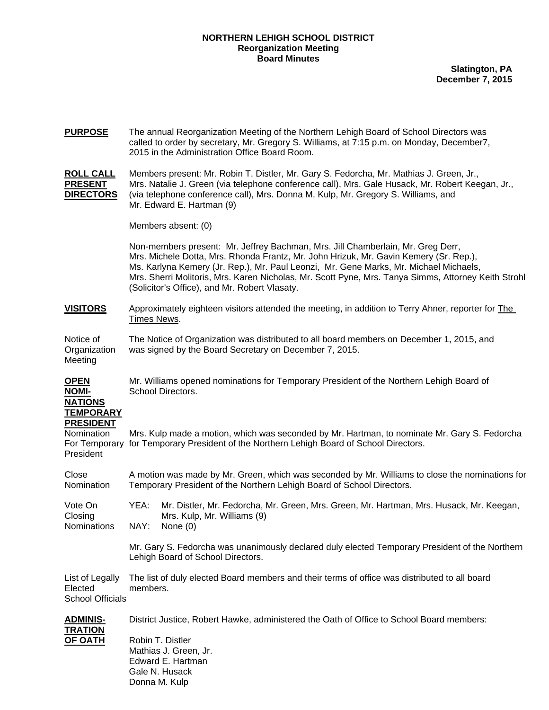## **NORTHERN LEHIGH SCHOOL DISTRICT Reorganization Meeting Board Minutes**

**Slatington, PA December 7, 2015**

| <b>PURPOSE</b>                                                                   | The annual Reorganization Meeting of the Northern Lehigh Board of School Directors was<br>called to order by secretary, Mr. Gregory S. Williams, at 7:15 p.m. on Monday, December7,<br>2015 in the Administration Office Board Room.                                                                          |                                                                                                                                                                                                                                                                                                                                                                          |  |  |  |  |
|----------------------------------------------------------------------------------|---------------------------------------------------------------------------------------------------------------------------------------------------------------------------------------------------------------------------------------------------------------------------------------------------------------|--------------------------------------------------------------------------------------------------------------------------------------------------------------------------------------------------------------------------------------------------------------------------------------------------------------------------------------------------------------------------|--|--|--|--|
| <b>ROLL CALL</b><br><b>PRESENT</b><br><u>DIRECTORS</u>                           | Members present: Mr. Robin T. Distler, Mr. Gary S. Fedorcha, Mr. Mathias J. Green, Jr.,<br>Mrs. Natalie J. Green (via telephone conference call), Mrs. Gale Husack, Mr. Robert Keegan, Jr.,<br>(via telephone conference call), Mrs. Donna M. Kulp, Mr. Gregory S. Williams, and<br>Mr. Edward E. Hartman (9) |                                                                                                                                                                                                                                                                                                                                                                          |  |  |  |  |
|                                                                                  | Members absent: (0)                                                                                                                                                                                                                                                                                           |                                                                                                                                                                                                                                                                                                                                                                          |  |  |  |  |
|                                                                                  | (Solicitor's Office), and Mr. Robert Vlasaty.                                                                                                                                                                                                                                                                 | Non-members present: Mr. Jeffrey Bachman, Mrs. Jill Chamberlain, Mr. Greg Derr,<br>Mrs. Michele Dotta, Mrs. Rhonda Frantz, Mr. John Hrizuk, Mr. Gavin Kemery (Sr. Rep.),<br>Ms. Karlyna Kemery (Jr. Rep.), Mr. Paul Leonzi, Mr. Gene Marks, Mr. Michael Michaels,<br>Mrs. Sherri Molitoris, Mrs. Karen Nicholas, Mr. Scott Pyne, Mrs. Tanya Simms, Attorney Keith Strohl |  |  |  |  |
| <b>VISITORS</b>                                                                  | Approximately eighteen visitors attended the meeting, in addition to Terry Ahner, reporter for The<br>Times News.                                                                                                                                                                                             |                                                                                                                                                                                                                                                                                                                                                                          |  |  |  |  |
| Notice of<br>Organization<br>Meeting                                             | The Notice of Organization was distributed to all board members on December 1, 2015, and<br>was signed by the Board Secretary on December 7, 2015.                                                                                                                                                            |                                                                                                                                                                                                                                                                                                                                                                          |  |  |  |  |
| <b>OPEN</b><br><b>NOMI-</b><br><b>NATIONS</b>                                    | Mr. Williams opened nominations for Temporary President of the Northern Lehigh Board of<br>School Directors.                                                                                                                                                                                                  |                                                                                                                                                                                                                                                                                                                                                                          |  |  |  |  |
| <u>TEMPORARY</u><br><b>PRESIDENT</b><br>Nomination<br>For Temporary<br>President | Mrs. Kulp made a motion, which was seconded by Mr. Hartman, to nominate Mr. Gary S. Fedorcha<br>for Temporary President of the Northern Lehigh Board of School Directors.                                                                                                                                     |                                                                                                                                                                                                                                                                                                                                                                          |  |  |  |  |
| Close<br>Nomination                                                              | A motion was made by Mr. Green, which was seconded by Mr. Williams to close the nominations for<br>Temporary President of the Northern Lehigh Board of School Directors.                                                                                                                                      |                                                                                                                                                                                                                                                                                                                                                                          |  |  |  |  |
| Vote On<br>Closing<br>Nominations                                                | YEA:<br>Mrs. Kulp, Mr. Williams (9)<br>NAY: None (0)                                                                                                                                                                                                                                                          | Mr. Distler, Mr. Fedorcha, Mr. Green, Mrs. Green, Mr. Hartman, Mrs. Husack, Mr. Keegan,                                                                                                                                                                                                                                                                                  |  |  |  |  |
|                                                                                  | Mr. Gary S. Fedorcha was unanimously declared duly elected Temporary President of the Northern<br>Lehigh Board of School Directors.                                                                                                                                                                           |                                                                                                                                                                                                                                                                                                                                                                          |  |  |  |  |
| List of Legally<br>Elected<br><b>School Officials</b>                            | The list of duly elected Board members and their terms of office was distributed to all board<br>members.                                                                                                                                                                                                     |                                                                                                                                                                                                                                                                                                                                                                          |  |  |  |  |
| <u>ADMINI</u> S-<br><b>TRATION</b><br><u>OF OATH</u>                             | District Justice, Robert Hawke, administered the Oath of Office to School Board members:<br>Robin T. Distler<br>Mathias J. Green, Jr.<br>Edward E. Hartman<br>Gale N. Husack                                                                                                                                  |                                                                                                                                                                                                                                                                                                                                                                          |  |  |  |  |

Donna M. Kulp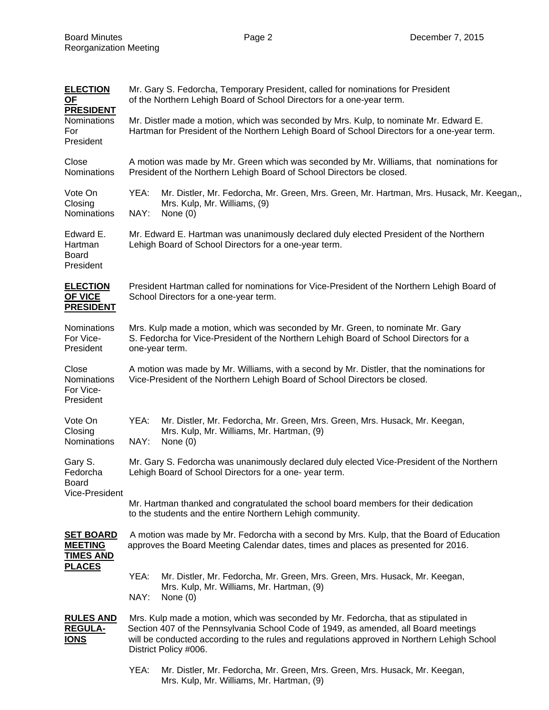| <b>ELECTION</b><br>OF                                      | Mr. Gary S. Fedorcha, Temporary President, called for nominations for President<br>of the Northern Lehigh Board of School Directors for a one-year term.                                                                                                                                          |                                                                                                                                        |  |  |  |
|------------------------------------------------------------|---------------------------------------------------------------------------------------------------------------------------------------------------------------------------------------------------------------------------------------------------------------------------------------------------|----------------------------------------------------------------------------------------------------------------------------------------|--|--|--|
| <b>PRESIDENT</b><br><b>Nominations</b><br>For<br>President | Mr. Distler made a motion, which was seconded by Mrs. Kulp, to nominate Mr. Edward E.<br>Hartman for President of the Northern Lehigh Board of School Directors for a one-year term.                                                                                                              |                                                                                                                                        |  |  |  |
| Close<br>Nominations                                       | A motion was made by Mr. Green which was seconded by Mr. Williams, that nominations for<br>President of the Northern Lehigh Board of School Directors be closed.                                                                                                                                  |                                                                                                                                        |  |  |  |
| Vote On<br>Closing<br>Nominations                          | YEA:<br>NAY:                                                                                                                                                                                                                                                                                      | Mr. Distler, Mr. Fedorcha, Mr. Green, Mrs. Green, Mr. Hartman, Mrs. Husack, Mr. Keegan,,<br>Mrs. Kulp, Mr. Williams, (9)<br>None $(0)$ |  |  |  |
| Edward E.<br>Hartman<br><b>Board</b><br>President          | Mr. Edward E. Hartman was unanimously declared duly elected President of the Northern<br>Lehigh Board of School Directors for a one-year term.                                                                                                                                                    |                                                                                                                                        |  |  |  |
| <b>ELECTION</b><br>OF VICE<br><b>PRESIDENT</b>             | President Hartman called for nominations for Vice-President of the Northern Lehigh Board of<br>School Directors for a one-year term.                                                                                                                                                              |                                                                                                                                        |  |  |  |
| Nominations<br>For Vice-<br>President                      | Mrs. Kulp made a motion, which was seconded by Mr. Green, to nominate Mr. Gary<br>S. Fedorcha for Vice-President of the Northern Lehigh Board of School Directors for a<br>one-year term.                                                                                                         |                                                                                                                                        |  |  |  |
| Close<br>Nominations<br>For Vice-<br>President             | A motion was made by Mr. Williams, with a second by Mr. Distler, that the nominations for<br>Vice-President of the Northern Lehigh Board of School Directors be closed.                                                                                                                           |                                                                                                                                        |  |  |  |
| Vote On<br>Closing<br><b>Nominations</b>                   | YEA:<br>NAY:                                                                                                                                                                                                                                                                                      | Mr. Distler, Mr. Fedorcha, Mr. Green, Mrs. Green, Mrs. Husack, Mr. Keegan,<br>Mrs. Kulp, Mr. Williams, Mr. Hartman, (9)<br>None $(0)$  |  |  |  |
| Gary S.<br>Fedorcha<br>Board<br>Vice-President             | Mr. Gary S. Fedorcha was unanimously declared duly elected Vice-President of the Northern<br>Lehigh Board of School Directors for a one-year term.                                                                                                                                                |                                                                                                                                        |  |  |  |
|                                                            | Mr. Hartman thanked and congratulated the school board members for their dedication<br>to the students and the entire Northern Lehigh community.                                                                                                                                                  |                                                                                                                                        |  |  |  |
| <b>SET BOARD</b><br><b>MEETING</b><br><b>TIMES AND</b>     | A motion was made by Mr. Fedorcha with a second by Mrs. Kulp, that the Board of Education<br>approves the Board Meeting Calendar dates, times and places as presented for 2016.                                                                                                                   |                                                                                                                                        |  |  |  |
| <b>PLACES</b>                                              | YEA:<br>NAY:                                                                                                                                                                                                                                                                                      | Mr. Distler, Mr. Fedorcha, Mr. Green, Mrs. Green, Mrs. Husack, Mr. Keegan,<br>Mrs. Kulp, Mr. Williams, Mr. Hartman, (9)<br>None $(0)$  |  |  |  |
| <b>RULES AND</b><br><b>REGULA-</b><br><b>IONS</b>          | Mrs. Kulp made a motion, which was seconded by Mr. Fedorcha, that as stipulated in<br>Section 407 of the Pennsylvania School Code of 1949, as amended, all Board meetings<br>will be conducted according to the rules and regulations approved in Northern Lehigh School<br>District Policy #006. |                                                                                                                                        |  |  |  |
|                                                            | YEA:                                                                                                                                                                                                                                                                                              | Mr. Distler, Mr. Fedorcha, Mr. Green, Mrs. Green, Mrs. Husack, Mr. Keegan,<br>Mrs. Kulp, Mr. Williams, Mr. Hartman, (9)                |  |  |  |